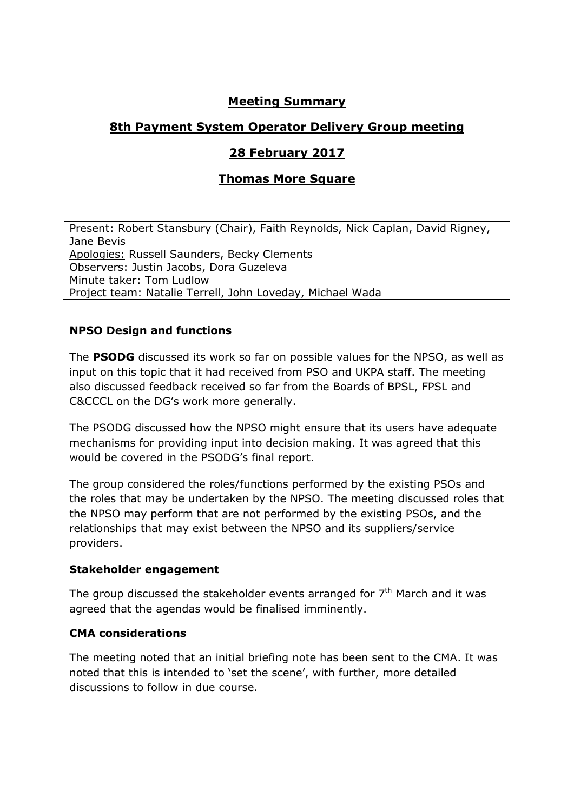# **Meeting Summary**

# **8th Payment System Operator Delivery Group meeting**

# **28 February 2017**

# **Thomas More Square**

Present: Robert Stansbury (Chair), Faith Reynolds, Nick Caplan, David Rigney, Jane Bevis Apologies: Russell Saunders, Becky Clements Observers: Justin Jacobs, Dora Guzeleva Minute taker: Tom Ludlow Project team: Natalie Terrell, John Loveday, Michael Wada

## **NPSO Design and functions**

The **PSODG** discussed its work so far on possible values for the NPSO, as well as input on this topic that it had received from PSO and UKPA staff. The meeting also discussed feedback received so far from the Boards of BPSL, FPSL and C&CCCL on the DG's work more generally.

The PSODG discussed how the NPSO might ensure that its users have adequate mechanisms for providing input into decision making. It was agreed that this would be covered in the PSODG's final report.

The group considered the roles/functions performed by the existing PSOs and the roles that may be undertaken by the NPSO. The meeting discussed roles that the NPSO may perform that are not performed by the existing PSOs, and the relationships that may exist between the NPSO and its suppliers/service providers.

#### **Stakeholder engagement**

The group discussed the stakeholder events arranged for  $7<sup>th</sup>$  March and it was agreed that the agendas would be finalised imminently.

#### **CMA considerations**

The meeting noted that an initial briefing note has been sent to the CMA. It was noted that this is intended to 'set the scene', with further, more detailed discussions to follow in due course.